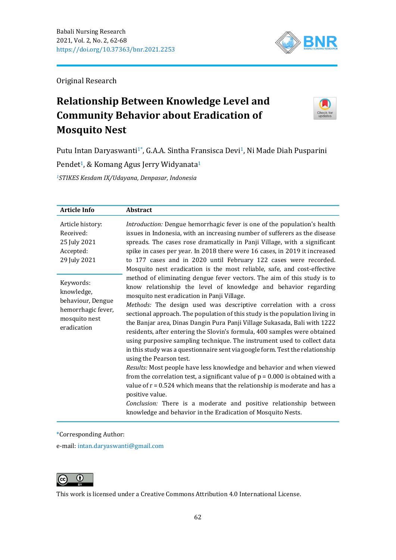

Original Research

# **Relationship Between Knowledge Level and Community Behavior about Eradication of Mosquito Nest**



Putu Intan Daryaswanti<sup>1\*</sup>, G.A.A. Sintha Fransisca Devi<sup>1</sup>, Ni Made Diah Pusparini

Pendet<sup>1</sup>, & Komang Agus Jerry Widyanata<sup>1</sup>

*<sup>1</sup>STIKES Kesdam IX/Udayana, Denpasar, Indonesia*

| <b>Article Info</b>                                                                                | <b>Abstract</b>                                                                                                                                                                                                                                                                                                                                                                                                                                                                                                                                                                                                                                                                                                                                                                                                                                                                                                                                                                                                                                                                                      |
|----------------------------------------------------------------------------------------------------|------------------------------------------------------------------------------------------------------------------------------------------------------------------------------------------------------------------------------------------------------------------------------------------------------------------------------------------------------------------------------------------------------------------------------------------------------------------------------------------------------------------------------------------------------------------------------------------------------------------------------------------------------------------------------------------------------------------------------------------------------------------------------------------------------------------------------------------------------------------------------------------------------------------------------------------------------------------------------------------------------------------------------------------------------------------------------------------------------|
| Article history:<br>Received:<br>25 July 2021<br>Accepted:<br>29 July 2021                         | <i>Introduction:</i> Dengue hemorrhagic fever is one of the population's health<br>issues in Indonesia, with an increasing number of sufferers as the disease<br>spreads. The cases rose dramatically in Panji Village, with a significant<br>spike in cases per year. In 2018 there were 16 cases, in 2019 it increased<br>to 177 cases and in 2020 until February 122 cases were recorded.<br>Mosquito nest eradication is the most reliable, safe, and cost-effective                                                                                                                                                                                                                                                                                                                                                                                                                                                                                                                                                                                                                             |
| Keywords:<br>knowledge,<br>behaviour, Dengue<br>hemorrhagic fever,<br>mosquito nest<br>eradication | method of eliminating dengue fever vectors. The aim of this study is to<br>know relationship the level of knowledge and behavior regarding<br>mosquito nest eradication in Panji Village.<br>Methods: The design used was descriptive correlation with a cross<br>sectional approach. The population of this study is the population living in<br>the Banjar area, Dinas Dangin Pura Panji Village Sukasada, Bali with 1222<br>residents, after entering the Slovin's formula, 400 samples were obtained<br>using purposive sampling technique. The instrument used to collect data<br>in this study was a questionnaire sent via google form. Test the relationship<br>using the Pearson test.<br>Results: Most people have less knowledge and behavior and when viewed<br>from the correlation test, a significant value of $p = 0.000$ is obtained with a<br>value of $r = 0.524$ which means that the relationship is moderate and has a<br>positive value.<br>Conclusion: There is a moderate and positive relationship between<br>knowledge and behavior in the Eradication of Mosquito Nests. |

\*Corresponding Author:

e-mail: [intan.daryaswanti@gmail.com](mailto:intan.daryaswanti@gmail.com)



This work is licensed under a [Creative Commons Attribution 4.0 International License.](https://creativecommons.org/licenses/by/4.0/)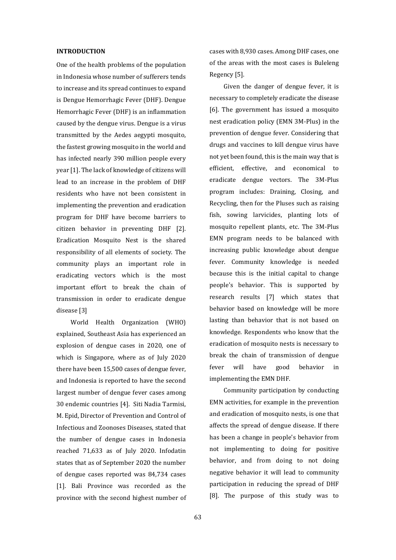#### **INTRODUCTION**

One of the health problems of the population in Indonesia whose number of sufferers tends to increase and its spread continues to expand is Dengue Hemorrhagic Fever (DHF). Dengue Hemorrhagic Fever (DHF) is an inflammation caused by the dengue virus. Dengue is a virus transmitted by the Aedes aegypti mosquito, the fastest growing mosquito in the world and has infected nearly 390 million people every year [1]. The lack of knowledge of citizens will lead to an increase in the problem of DHF residents who have not been consistent in implementing the prevention and eradication program for DHF have become barriers to citizen behavior in preventing DHF [2]. Eradication Mosquito Nest is the shared responsibility of all elements of society. The community plays an important role in eradicating vectors which is the most important effort to break the chain of transmission in order to eradicate dengue disease [3]

World Health Organization (WHO) explained, Southeast Asia has experienced an explosion of dengue cases in 2020, one of which is Singapore, where as of July 2020 there have been 15,500 cases of dengue fever, and Indonesia is reported to have the second largest number of dengue fever cases among 30 endemic countries [4]. Siti Nadia Tarmisi, M. Epid, Director of Prevention and Control of Infectious and Zoonoses Diseases, stated that the number of dengue cases in Indonesia reached 71,633 as of July 2020. Infodatin states that as of September 2020 the number of dengue cases reported was 84,734 cases [1]. Bali Province was recorded as the province with the second highest number of cases with 8,930 cases. Among DHF cases, one of the areas with the most cases is Buleleng Regency [5].

Given the danger of dengue fever, it is necessary to completely eradicate the disease [6]. The government has issued a mosquito nest eradication policy (EMN 3M-Plus) in the prevention of dengue fever. Considering that drugs and vaccines to kill dengue virus have not yet been found, this is the main way that is efficient, effective, and economical to eradicate dengue vectors. The 3M-Plus program includes: Draining, Closing, and Recycling, then for the Pluses such as raising fish, sowing larvicides, planting lots of mosquito repellent plants, etc. The 3M-Plus EMN program needs to be balanced with increasing public knowledge about dengue fever. Community knowledge is needed because this is the initial capital to change people's behavior. This is supported by research results [7] which states that behavior based on knowledge will be more lasting than behavior that is not based on knowledge. Respondents who know that the eradication of mosquito nests is necessary to break the chain of transmission of dengue fever will have good behavior in implementing the EMN DHF.

Community participation by conducting EMN activities, for example in the prevention and eradication of mosquito nests, is one that affects the spread of dengue disease. If there has been a change in people's behavior from not implementing to doing for positive behavior, and from doing to not doing negative behavior it will lead to community participation in reducing the spread of DHF [8]. The purpose of this study was to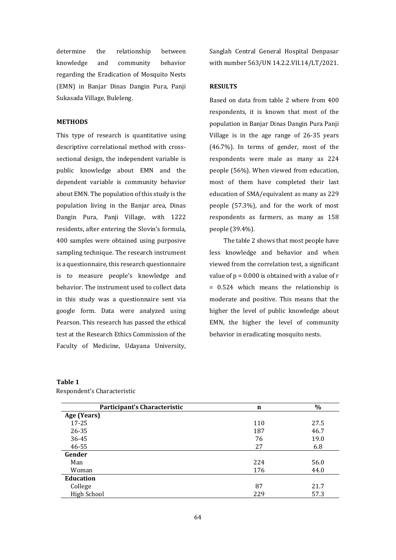determine the relationship between knowledge and community behavior regarding the Eradication of Mosquito Nests (EMN) in Banjar Dinas Dangin Pura, Panji Sukasada Village, Buleleng.

## **METHODS**

This type of research is quantitative using descriptive correlational method with crosssectional design, the independent variable is public knowledge about EMN and the dependent variable is community behavior about EMN. The population of this study is the population living in the Banjar area, Dinas Dangin Pura, Panji Village, with 1222 residents, after entering the Slovin's formula, 400 samples were obtained using purposive sampling technique. The research instrument is a questionnaire, this research questionnaire is to measure people's knowledge and behavior. The instrument used to collect data in this study was a questionnaire sent via google form. Data were analyzed using Pearson. This research has passed the ethical test at the Research Ethics Commission of the Faculty of Medicine, Udayana University,

Sanglah Central General Hospital Denpasar with number 563/UN 14.2.2.VII.14/LT/2021.

# **RESULTS**

Based on data from table 2 where from 400 respondents, it is known that most of the population in Banjar Dinas Dangin Pura Panji Village is in the age range of 26-35 years (46.7%). In terms of gender, most of the respondents were male as many as 224 people (56%). When viewed from education, most of them have completed their last education of SMA/equivalent as many as 229 people (57.3%), and for the work of most respondents as farmers, as many as 158 people (39.4%).

The table 2 shows that most people have less knowledge and behavior and when viewed from the correlation test, a significant value of  $p = 0.000$  is obtained with a value of  $r$ = 0.524 which means the relationship is moderate and positive. This means that the higher the level of public knowledge about EMN, the higher the level of community behavior in eradicating mosquito nests.

## **Table 1**

Respondent's Characteristic

| Participant's Characteristic | n   | $\%$ |
|------------------------------|-----|------|
| Age (Years)                  |     |      |
| $17 - 25$                    | 110 | 27.5 |
| 26-35                        | 187 | 46.7 |
| 36-45                        | 76  | 19.0 |
| 46-55                        | 27  | 6.8  |
| Gender                       |     |      |
| Man                          | 224 | 56.0 |
| Woman                        | 176 | 44.0 |
| <b>Education</b>             |     |      |
| College                      | 87  | 21.7 |
| <b>High School</b>           | 229 | 57.3 |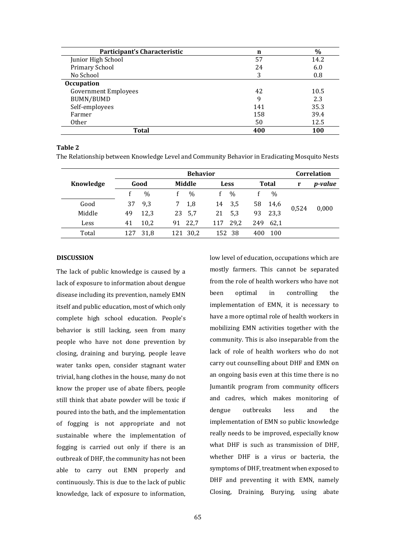| Participant's Characteristic | n   | $\%$ |
|------------------------------|-----|------|
| Junior High School           | 57  | 14.2 |
| Primary School               | 24  | 6.0  |
| No School                    | 3   | 0.8  |
| Occupation                   |     |      |
| <b>Government Employees</b>  | 42  | 10.5 |
| BUMN/BUMD                    | q   | 2.3  |
| Self-employees               | 141 | 35.3 |
| Farmer                       | 158 | 39.4 |
| <b>Other</b>                 | 50  | 12.5 |
| <b>Total</b>                 | 400 | 100  |

## **Table 2**

The Relationship between Knowledge Level and Community Behavior in Eradicating Mosquito Nests

|           | <b>Behavior</b> |               |     |               |     |               |     | Correlation   |       |                |
|-----------|-----------------|---------------|-----|---------------|-----|---------------|-----|---------------|-------|----------------|
| Knowledge | Good            |               |     | Middle        |     | <b>Less</b>   |     | <b>Total</b>  |       | <i>p-value</i> |
|           |                 | $\frac{0}{0}$ |     | $\frac{0}{0}$ |     | $\frac{0}{0}$ |     | $\frac{0}{0}$ |       |                |
| Good      | 37              | 9,3           | 7   | 1,8           | 14  | 3,5           | 58  | 14,6          | 0,524 |                |
| Middle    | 49              | 12.3          | 23  | 5,7           | 21  | 5,3           | 93  | 23,3          |       | 0,000          |
| Less      | 41              | 10,2          | 91  | 22.7          | 117 | 29,2          | 249 | 62.1          |       |                |
| Total     | 127             | 31,8          | 121 | 30,2          | 152 | 38            | 400 | 100           |       |                |

## **DISCUSSION**

The lack of public knowledge is caused by a lack of exposure to information about dengue disease including its prevention, namely EMN itself and public education, most of which only complete high school education. People's behavior is still lacking, seen from many people who have not done prevention by closing, draining and burying, people leave water tanks open, consider stagnant water trivial, hang clothes in the house, many do not know the proper use of abate fibers, people still think that abate powder will be toxic if poured into the bath, and the implementation of fogging is not appropriate and not sustainable where the implementation of fogging is carried out only if there is an outbreak of DHF, the community has not been able to carry out EMN properly and continuously. This is due to the lack of public knowledge, lack of exposure to information, low level of education, occupations which are mostly farmers. This cannot be separated from the role of health workers who have not been optimal in controlling the implementation of EMN, it is necessary to have a more optimal role of health workers in mobilizing EMN activities together with the community. This is also inseparable from the lack of role of health workers who do not carry out counselling about DHF and EMN on an ongoing basis even at this time there is no Jumantik program from community officers and cadres, which makes monitoring of dengue outbreaks less and the implementation of EMN so public knowledge really needs to be improved, especially know what DHF is such as transmission of DHF, whether DHF is a virus or bacteria, the symptoms of DHF, treatment when exposed to DHF and preventing it with EMN, namely Closing, Draining, Burying, using abate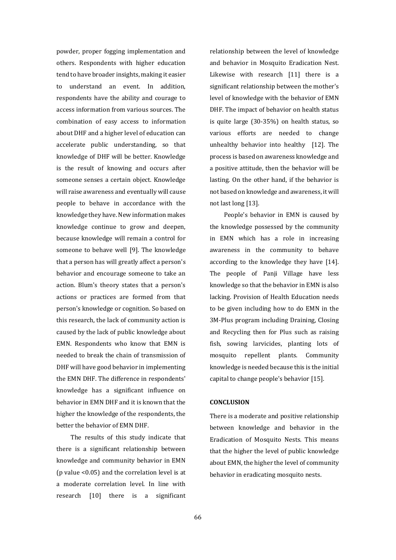powder, proper fogging implementation and others. Respondents with higher education tend to have broader insights, making it easier to understand an event. In addition, respondents have the ability and courage to access information from various sources. The combination of easy access to information about DHF and a higher level of education can accelerate public understanding, so that knowledge of DHF will be better. Knowledge is the result of knowing and occurs after someone senses a certain object. Knowledge will raise awareness and eventually will cause people to behave in accordance with the knowledge they have. New information makes knowledge continue to grow and deepen, because knowledge will remain a control for someone to behave well [9]. The knowledge that a person has will greatly affect a person's behavior and encourage someone to take an action. Blum's theory states that a person's actions or practices are formed from that person's knowledge or cognition. So based on this research, the lack of community action is caused by the lack of public knowledge about EMN. Respondents who know that EMN is needed to break the chain of transmission of DHF will have good behavior in implementing the EMN DHF. The difference in respondents' knowledge has a significant influence on behavior in EMN DHF and it is known that the higher the knowledge of the respondents, the better the behavior of EMN DHF.

The results of this study indicate that there is a significant relationship between knowledge and community behavior in EMN (p value <0.05) and the correlation level is at a moderate correlation level. In line with research [10] there is a significant relationship between the level of knowledge and behavior in Mosquito Eradication Nest. Likewise with research [11] there is a significant relationship between the mother's level of knowledge with the behavior of EMN DHF. The impact of behavior on health status is quite large (30-35%) on health status, so various efforts are needed to change unhealthy behavior into healthy [12]. The process is based on awareness knowledge and a positive attitude, then the behavior will be lasting. On the other hand, if the behavior is not based on knowledge and awareness, it will not last long [13].

People's behavior in EMN is caused by the knowledge possessed by the community in EMN which has a role in increasing awareness in the community to behave according to the knowledge they have [14]. The people of Panji Village have less knowledge so that the behavior in EMN is also lacking. Provision of Health Education needs to be given including how to do EMN in the 3M-Plus program including Draining, Closing and Recycling then for Plus such as raising fish, sowing larvicides, planting lots of mosquito repellent plants. Community knowledge is needed because this is the initial capital to change people's behavior [15].

#### **CONCLUSION**

There is a moderate and positive relationship between knowledge and behavior in the Eradication of Mosquito Nests. This means that the higher the level of public knowledge about EMN, the higher the level of community behavior in eradicating mosquito nests.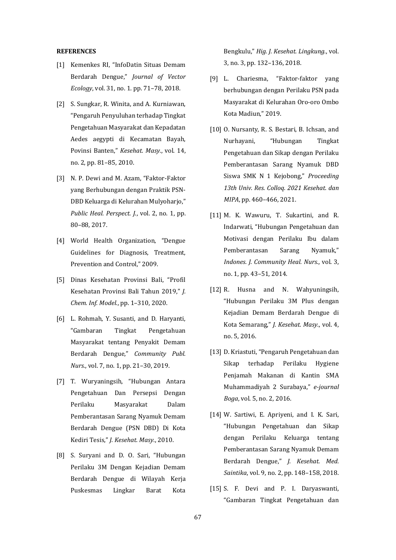#### **REFERENCES**

- [1] Kemenkes RI, "InfoDatin Situas Demam Berdarah Dengue," *Journal of Vector Ecology*, vol. 31, no. 1. pp. 71–78, 2018.
- [2] S. Sungkar, R. Winita, and A. Kurniawan, "Pengaruh Penyuluhan terhadap Tingkat Pengetahuan Masyarakat dan Kepadatan Aedes aegypti di Kecamatan Bayah, Povinsi Banten," *Kesehat. Masy.*, vol. 14, no. 2, pp. 81–85, 2010.
- [3] N. P. Dewi and M. Azam, "Faktor-Faktor yang Berhubungan dengan Praktik PSN-DBD Keluarga di Kelurahan Mulyoharjo," *Public Heal. Perspect. J.*, vol. 2, no. 1, pp. 80–88, 2017.
- [4] World Health Organization, "Dengue Guidelines for Diagnosis, Treatment, Prevention and Control," 2009.
- [5] Dinas Kesehatan Provinsi Bali, "Profil Kesehatan Provinsi Bali Tahun 2019," *J. Chem. Inf. Model.*, pp. 1–310, 2020.
- [6] L. Rohmah, Y. Susanti, and D. Haryanti, "Gambaran Tingkat Pengetahuan Masyarakat tentang Penyakit Demam Berdarah Dengue," *Community Publ. Nurs.*, vol. 7, no. 1, pp. 21–30, 2019.
- [7] T. Wuryaningsih, "Hubungan Antara Pengetahuan Dan Persepsi Dengan Perilaku Masyarakat Dalam Pemberantasan Sarang Nyamuk Demam Berdarah Dengue (PSN DBD) Di Kota Kediri Tesis," *J. Kesehat. Masy.*, 2010.
- [8] S. Suryani and D. O. Sari, "Hubungan Perilaku 3M Dengan Kejadian Demam Berdarah Dengue di Wilayah Kerja Puskesmas Lingkar Barat Kota

Bengkulu," *Hig. J. Kesehat. Lingkung.*, vol. 3, no. 3, pp. 132–136, 2018.

- [9] L. Chariesma, "Faktor-faktor yang berhubungan dengan Perilaku PSN pada Masyarakat di Kelurahan Oro-oro Ombo Kota Madiun," 2019.
- [10] O. Nursanty, R. S. Bestari, B. Ichsan, and Nurhayani, "Hubungan Tingkat Pengetahuan dan Sikap dengan Perilaku Pemberantasan Sarang Nyamuk DBD Siswa SMK N 1 Kejobong," *Proceeding 13th Univ. Res. Colloq. 2021 Kesehat. dan MIPA*, pp. 460–466, 2021.
- [11] M. K. Wawuru, T. Sukartini, and R. Indarwati, "Hubungan Pengetahuan dan Motivasi dengan Perilaku Ibu dalam Pemberantasan Sarang Nyamuk," *Indones. J. Community Heal. Nurs.*, vol. 3, no. 1, pp. 43–51, 2014.
- [12] R. Husna and N. Wahyuningsih, "Hubungan Perilaku 3M Plus dengan Kejadian Demam Berdarah Dengue di Kota Semarang," *J. Kesehat. Masy.*, vol. 4, no. 5, 2016.
- [13] D. Kriastuti, "Pengaruh Pengetahuan dan Sikap terhadap Perilaku Hygiene Penjamah Makanan di Kantin SMA Muhammadiyah 2 Surabaya," *e-journal Boga*, vol. 5, no. 2, 2016.
- [14] W. Sartiwi, E. Apriyeni, and I. K. Sari, "Hubungan Pengetahuan dan Sikap dengan Perilaku Keluarga tentang Pemberantasan Sarang Nyamuk Demam Berdarah Dengue," *J. Kesehat. Med. Saintika*, vol. 9, no. 2, pp. 148–158, 2018.
- [15] S. F. Devi and P. I. Daryaswanti, "Gambaran Tingkat Pengetahuan dan